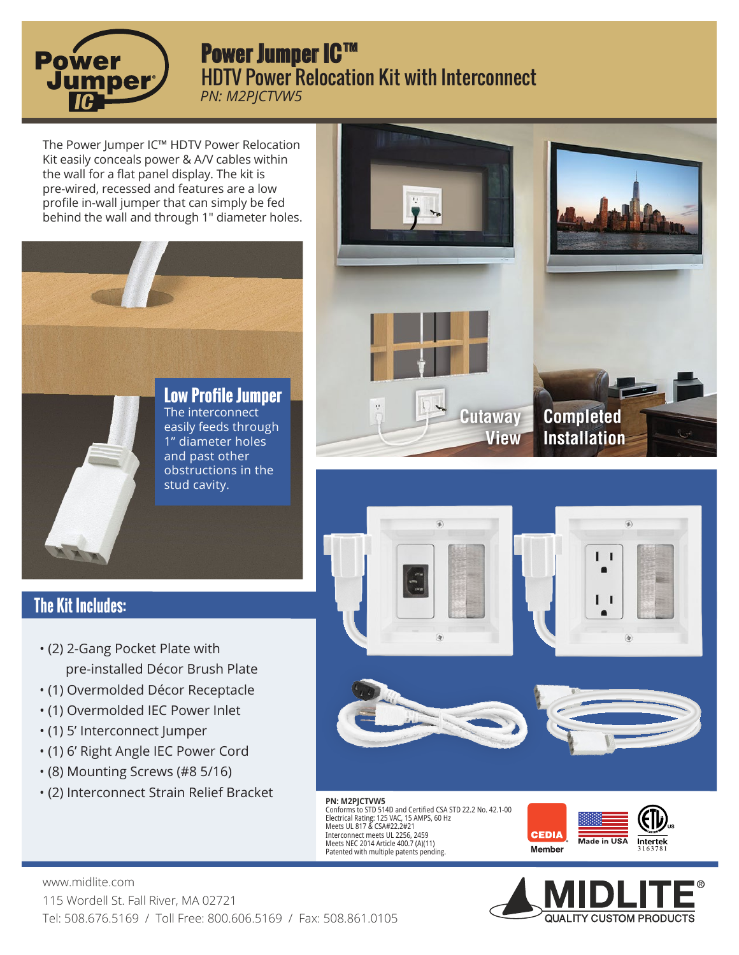

## **Power Jumper IC™** HDTV Power Relocation Kit with Interconnect *PN: M2PJCTVW5*

The Power Jumper IC™ HDTV Power Relocation Kit easily conceals power & A/V cables within the wall for a flat panel display. The kit is pre-wired, recessed and features are a low profile in-wall jumper that can simply be fed behind the wall and through 1" diameter holes.









## **The Kit Includes:**

- (2) 2-Gang Pocket Plate with pre-installed Décor Brush Plate
- (1) Overmolded Décor Receptacle
- (1) Overmolded IEC Power Inlet
- (1) 5' Interconnect Jumper
- (1) 6' Right Angle IEC Power Cord
- (8) Mounting Screws (#8 5/16)
- (2) Interconnect Strain Relief Bracket





## **PN: M2PJCTVW5**<br>Conforms to STD 514D and Certified CSA STD 22.2 No. 42.1-00<br>Electrical Rating: 125 VAC, 15 AMPS, 60 Hz<br>Meets UL 817 & CSA#22.2#21 Interconnect meets UL 2256, 2459 Meets NEC 2014 Article 400.7 (A)(11) Patented with multiple patents pending.